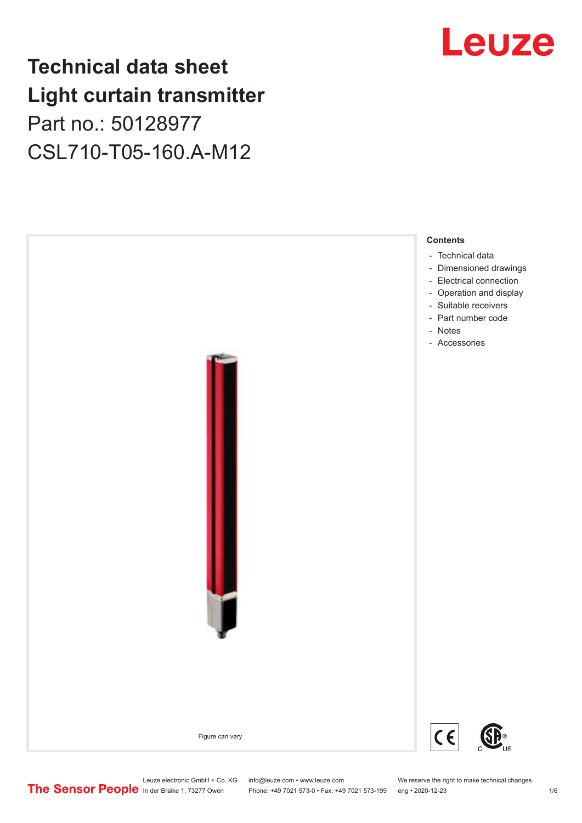## **Technical data sheet Light curtain transmitter** Part no.: 50128977 CSL710-T05-160.A-M12





Leuze electronic GmbH + Co. KG info@leuze.com • www.leuze.com We reserve the right to make technical changes<br>
The Sensor People in der Braike 1, 73277 Owen Phone: +49 7021 573-0 • Fax: +49 7021 573-199 eng • 2020-12-23

Phone: +49 7021 573-0 • Fax: +49 7021 573-199 eng • 2020-12-23 1 76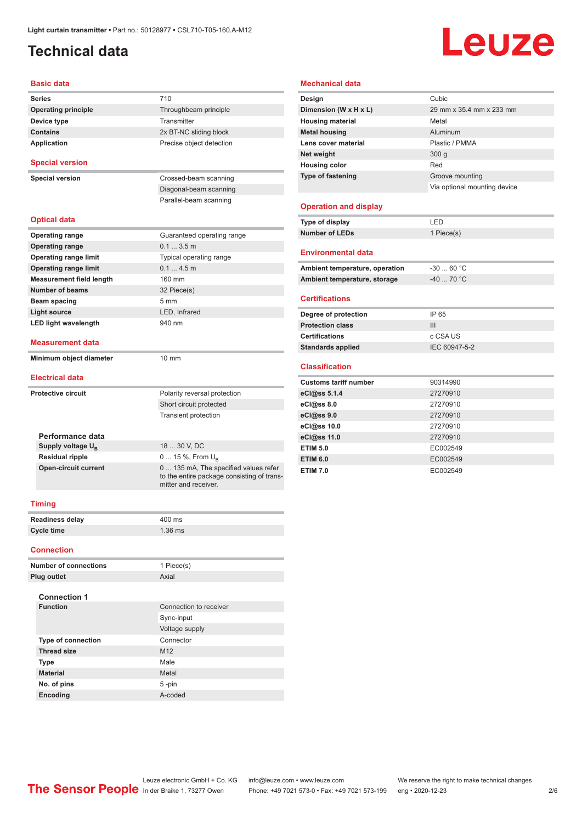## <span id="page-1-0"></span>**Technical data**

## **Leuze**

### **Basic data**

| <b>Series</b>                                    | 710                                                                                                         |  |
|--------------------------------------------------|-------------------------------------------------------------------------------------------------------------|--|
| <b>Operating principle</b>                       | Throughbeam principle                                                                                       |  |
| Transmitter<br>Device type                       |                                                                                                             |  |
| <b>Contains</b>                                  | 2x BT-NC sliding block                                                                                      |  |
| <b>Application</b>                               | Precise object detection                                                                                    |  |
| <b>Special version</b>                           |                                                                                                             |  |
|                                                  |                                                                                                             |  |
| <b>Special version</b>                           | Crossed-beam scanning                                                                                       |  |
|                                                  | Diagonal-beam scanning                                                                                      |  |
|                                                  | Parallel-beam scanning                                                                                      |  |
| <b>Optical data</b>                              |                                                                                                             |  |
| <b>Operating range</b>                           | Guaranteed operating range                                                                                  |  |
| <b>Operating range</b>                           | 0.13.5m                                                                                                     |  |
| Operating range limit<br>Typical operating range |                                                                                                             |  |
| <b>Operating range limit</b>                     | 0.14.5m                                                                                                     |  |
| 160 mm<br><b>Measurement field length</b>        |                                                                                                             |  |
| <b>Number of beams</b>                           | 32 Piece(s)                                                                                                 |  |
| Beam spacing                                     | $5 \, \text{mm}$                                                                                            |  |
| LED. Infrared<br>Light source                    |                                                                                                             |  |
| <b>LED light wavelength</b>                      | 940 nm                                                                                                      |  |
| Measurement data                                 |                                                                                                             |  |
| Minimum object diameter                          | $10 \text{ mm}$                                                                                             |  |
| <b>Electrical data</b>                           |                                                                                                             |  |
| <b>Protective circuit</b>                        | Polarity reversal protection                                                                                |  |
|                                                  | Short circuit protected                                                                                     |  |
|                                                  | <b>Transient protection</b>                                                                                 |  |
|                                                  |                                                                                                             |  |
| Performance data                                 |                                                                                                             |  |
| Supply voltage U <sub>R</sub>                    | 18  30 V, DC                                                                                                |  |
| <b>Residual ripple</b>                           | 0  15 %, From $U_B$                                                                                         |  |
| Open-circuit current                             | 0  135 mA, The specified values refer<br>to the entire package consisting of trans-<br>mitter and receiver. |  |
| <b>Timing</b>                                    |                                                                                                             |  |
| <b>Readiness delay</b>                           | 400 ms                                                                                                      |  |
| <b>Cycle time</b>                                | $1.36$ ms                                                                                                   |  |
|                                                  |                                                                                                             |  |

#### **Connection**

| <b>Number of connections</b> | 1 Piece(s)             |
|------------------------------|------------------------|
| Plug outlet                  | Axial                  |
| <b>Connection 1</b>          |                        |
| <b>Function</b>              | Connection to receiver |
|                              | Sync-input             |
|                              | Voltage supply         |
| <b>Type of connection</b>    | Connector              |
| <b>Thread size</b>           | M <sub>12</sub>        |
| <b>Type</b>                  | Male                   |
| <b>Material</b>              | Metal                  |
| No. of pins                  | $5 - pin$              |
| <b>Encoding</b>              | A-coded                |

### **Mechanical data**

| Design                   | Cubic                        |
|--------------------------|------------------------------|
| Dimension (W x H x L)    | 29 mm x 35.4 mm x 233 mm     |
| <b>Housing material</b>  | Metal                        |
| <b>Metal housing</b>     | Aluminum                     |
| Lens cover material      | Plastic / PMMA               |
| Net weight               | 300q                         |
| <b>Housing color</b>     | Red                          |
| <b>Type of fastening</b> | Groove mounting              |
|                          | Via optional mounting device |
| Onavatian and diantau    |                              |

### **Operation and display**

| Type of display | I ED       |
|-----------------|------------|
| Number of LEDs  | 1 Piece(s) |

#### **Environmental data**

| Ambient temperature, operation | -30  60 °C |
|--------------------------------|------------|
| Ambient temperature, storage   | -40  70 °C |

### **Certifications**

| Degree of protection     | IP 65         |
|--------------------------|---------------|
| <b>Protection class</b>  | Ш             |
| <b>Certifications</b>    | c CSA US      |
| <b>Standards applied</b> | IEC 60947-5-2 |

### **Classification**

| <b>Customs tariff number</b> | 90314990 |
|------------------------------|----------|
| eCl@ss 5.1.4                 | 27270910 |
| eCl@ss 8.0                   | 27270910 |
| eCl@ss 9.0                   | 27270910 |
| eCl@ss 10.0                  | 27270910 |
| eCl@ss 11.0                  | 27270910 |
| <b>ETIM 5.0</b>              | EC002549 |
| <b>ETIM 6.0</b>              | EC002549 |
| <b>ETIM 7.0</b>              | EC002549 |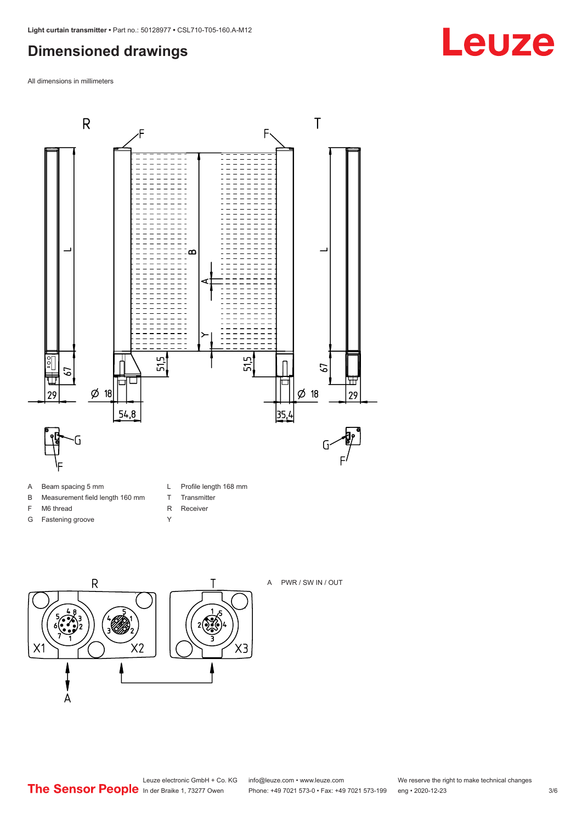## <span id="page-2-0"></span>**Dimensioned drawings**

All dimensions in millimeters



- A Beam spacing 5 mm
- B Measurement field length 160 mm
- F M6 thread
- G Fastening groove
- L Profile length 168 mm
- T Transmitter R Receiver
- Y
- $\overline{R}$ Τ  $2\sqrt{2}$  $X<sub>2</sub>$ X1  $\overline{A}$



A PWR / SW IN / OUT



## **Leuze**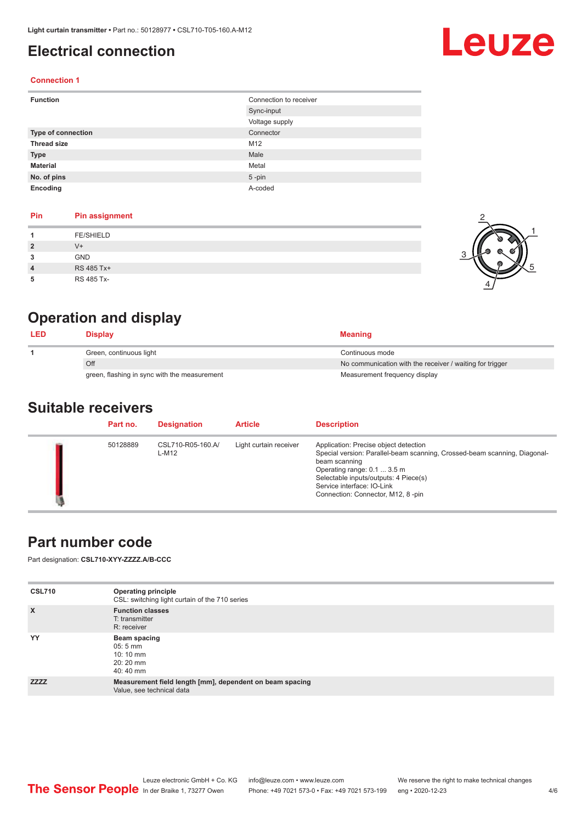## <span id="page-3-0"></span>**Electrical connection**

# Leuze

1

5

### **Connection 1**

| <b>Function</b>           | Connection to receiver |  |
|---------------------------|------------------------|--|
|                           | Sync-input             |  |
|                           | Voltage supply         |  |
| <b>Type of connection</b> | Connector              |  |
| <b>Thread size</b>        | M12                    |  |
| <b>Type</b>               | Male                   |  |
| <b>Material</b>           | Metal                  |  |
| No. of pins               | $5$ -pin               |  |
| Encoding                  | A-coded                |  |

### **Pin Pin assignment**

| Pin | <b>Pin assignment</b> |  |
|-----|-----------------------|--|
|     | <b>FE/SHIELD</b>      |  |
| 2   | $V^+$                 |  |
| 3   | GND                   |  |
| 4   | RS 485 Tx+            |  |
| 5   | RS 485 Tx-            |  |

## **Operation and display**

| <b>LED</b> | <b>Display</b>                               | <b>Meaning</b>                                           |
|------------|----------------------------------------------|----------------------------------------------------------|
|            | Green, continuous light                      | Continuous mode                                          |
|            | Off                                          | No communication with the receiver / waiting for trigger |
|            | green, flashing in sync with the measurement | Measurement frequency display                            |

### **Suitable receivers**

| Part no. | <b>Designation</b>         | <b>Article</b>         | <b>Description</b>                                                                                                                                                                                                                                                             |
|----------|----------------------------|------------------------|--------------------------------------------------------------------------------------------------------------------------------------------------------------------------------------------------------------------------------------------------------------------------------|
| 50128889 | CSL710-R05-160.A/<br>L-M12 | Light curtain receiver | Application: Precise object detection<br>Special version: Parallel-beam scanning, Crossed-beam scanning, Diagonal-<br>beam scanning<br>Operating range: 0.1  3.5 m<br>Selectable inputs/outputs: 4 Piece(s)<br>Service interface: IO-Link<br>Connection: Connector, M12, 8-pin |

### **Part number code**

Part designation: **CSL710-XYY-ZZZZ.A/B-CCC**

| <b>CSL710</b> | <b>Operating principle</b><br>CSL: switching light curtain of the 710 series          |
|---------------|---------------------------------------------------------------------------------------|
| $\mathsf{x}$  | <b>Function classes</b><br>T: transmitter<br>R: receiver                              |
| YY            | Beam spacing<br>$05:5$ mm<br>$10:10 \, \text{mm}$<br>20:20 mm<br>40:40 mm             |
| <b>ZZZZ</b>   | Measurement field length [mm], dependent on beam spacing<br>Value, see technical data |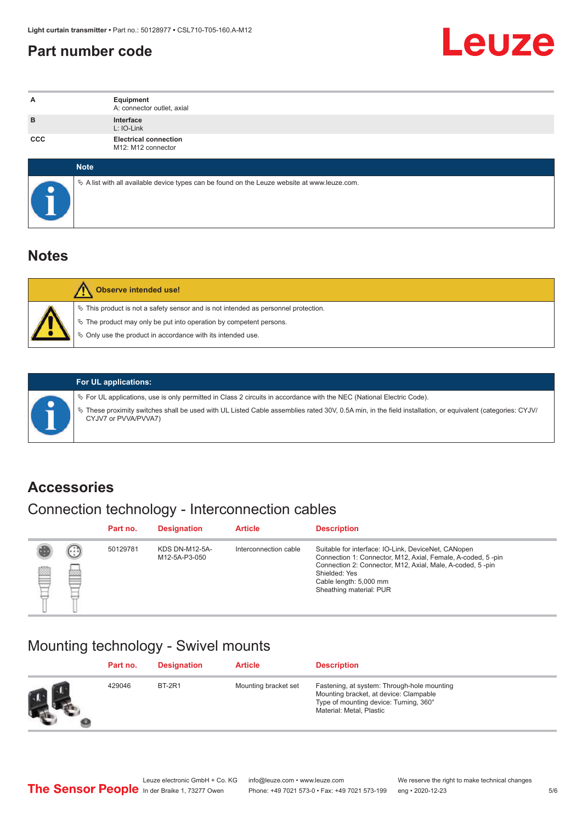### <span id="page-4-0"></span>**Part number code**



| A          | Equipment<br>A: connector outlet, axial                                                    |  |  |  |  |  |
|------------|--------------------------------------------------------------------------------------------|--|--|--|--|--|
| B          | Interface<br>L: IO-Link                                                                    |  |  |  |  |  |
| <b>CCC</b> | <b>Electrical connection</b><br>M12: M12 connector                                         |  |  |  |  |  |
|            | <b>Note</b>                                                                                |  |  |  |  |  |
|            | A list with all available device types can be found on the Leuze website at www.leuze.com. |  |  |  |  |  |

### **Notes**

| <b>Observe intended use!</b>                                                                                                                                                                                                     |
|----------------------------------------------------------------------------------------------------------------------------------------------------------------------------------------------------------------------------------|
| $\%$ This product is not a safety sensor and is not intended as personnel protection.<br>$\&$ The product may only be put into operation by competent persons.<br>$\%$ Only use the product in accordance with its intended use. |

ª These proximity switches shall be used with UL Listed Cable assemblies rated 30V, 0.5A min, in the field installation, or equivalent (categories: CYJV/

ª For UL applications, use is only permitted in Class 2 circuits in accordance with the NEC (National Electric Code).

**For UL applications:**

CYJV7 or PVVA/PVVA7)

**Accessories**

## Connection technology - Interconnection cables

|   |        | Part no. | <b>Designation</b>                     | <b>Article</b>        | <b>Description</b>                                                                                                                                                                                                                                    |
|---|--------|----------|----------------------------------------|-----------------------|-------------------------------------------------------------------------------------------------------------------------------------------------------------------------------------------------------------------------------------------------------|
| Ø | ⊕<br>國 | 50129781 | <b>KDS DN-M12-5A-</b><br>M12-5A-P3-050 | Interconnection cable | Suitable for interface: IO-Link, DeviceNet, CANopen<br>Connection 1: Connector, M12, Axial, Female, A-coded, 5-pin<br>Connection 2: Connector, M12, Axial, Male, A-coded, 5-pin<br>Shielded: Yes<br>Cable length: 5,000 mm<br>Sheathing material: PUR |

### Mounting technology - Swivel mounts

|    | Part no. | <b>Designation</b> | <b>Article</b>       | <b>Description</b>                                                                                                                                          |
|----|----------|--------------------|----------------------|-------------------------------------------------------------------------------------------------------------------------------------------------------------|
| Ø. | 429046   | <b>BT-2R1</b>      | Mounting bracket set | Fastening, at system: Through-hole mounting<br>Mounting bracket, at device: Clampable<br>Type of mounting device: Turning, 360°<br>Material: Metal, Plastic |